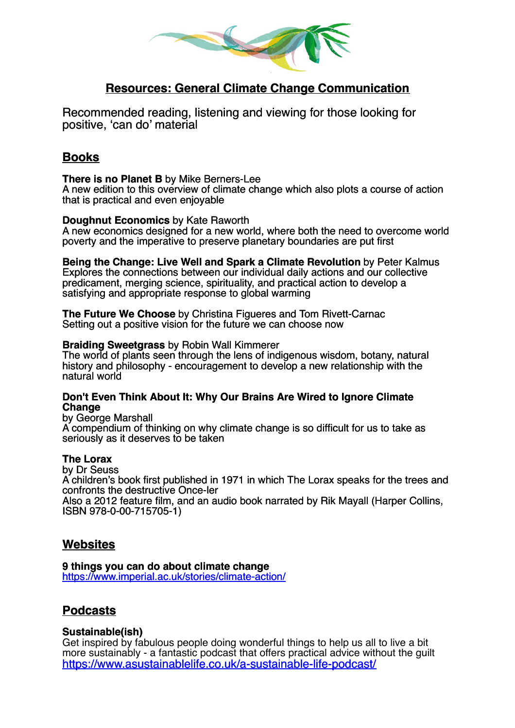

# **Resources: General Climate Change Communication**

Recommended reading, listening and viewing for those looking for positive, 'can do' material

## **Books**

#### **There is no Planet B** by Mike Berners-Lee

A new edition to this overview of climate change which also plots a course of action that is practical and even enjoyable

### **Doughnut Economics** by Kate Raworth

A new economics designed for a new world, where both the need to overcome world poverty and the imperative to preserve planetary boundaries are put first

**Being the Change: Live Well and Spark a Climate Revolution** by Peter Kalmus Explores the connections between our individual daily actions and our collective predicament, merging science, spirituality, and practical action to develop a satisfying and appropriate response to global warming

**The Future We Choose** by Christina Figueres and Tom Rivett-Carnac Setting out a positive vision for the future we can choose now

### **Braiding Sweetgrass** by Robin Wall Kimmerer

The world of plants seen through the lens of indigenous wisdom, botany, natural history and philosophy - encouragement to develop a new relationship with the natural world

#### **Don't Even Think About It: Why Our Brains Are Wired to Ignore Climate Change**

by George Marshall

A compendium of thinking on why climate change is so difficult for us to take as seriously as it deserves to be taken

### **The Lorax**

by Dr Seuss A children's book first published in 1971 in which The Lorax speaks for the trees and confronts the destructive Once-ler

Also a 2012 feature film, and an audio book narrated by Rik Mayall (Harper Collins, ISBN 978-0-00-715705-1)

### **Websites**

**9 things you can do about climate change** [https://www.imperial.ac.uk/stories/climate-action/](https://urldefense.proofpoint.com/v2/url?u=https-3A__www.imperial.ac.uk_stories_climate-2Daction_&d=DwQGaQ&c=tkg6qBpVKaymQv9tTEpyCv5e23C4oKrSdZwjE7Q68Ts&r=MiqYwGrbC3iyJ7hzwBD6bZpS1-ZcZLZwOrxjwxYyF68&m=HBf7qaTHHNpjomwL54SL3xfImEqvXcen2i9lf1Ibj2E&s=6ikpqv_A7ExULEHgZTHedPUnykbDwZH7gVpXLlsYzVU&e=)

## **Podcasts**

### **Sustainable(ish)**

Get inspired by fabulous people doing wonderful things to help us all to live a bit more sustainably - a fantastic podcast that offers practical advice without the guilt <https://www.asustainablelife.co.uk/a-sustainable-life-podcast/>